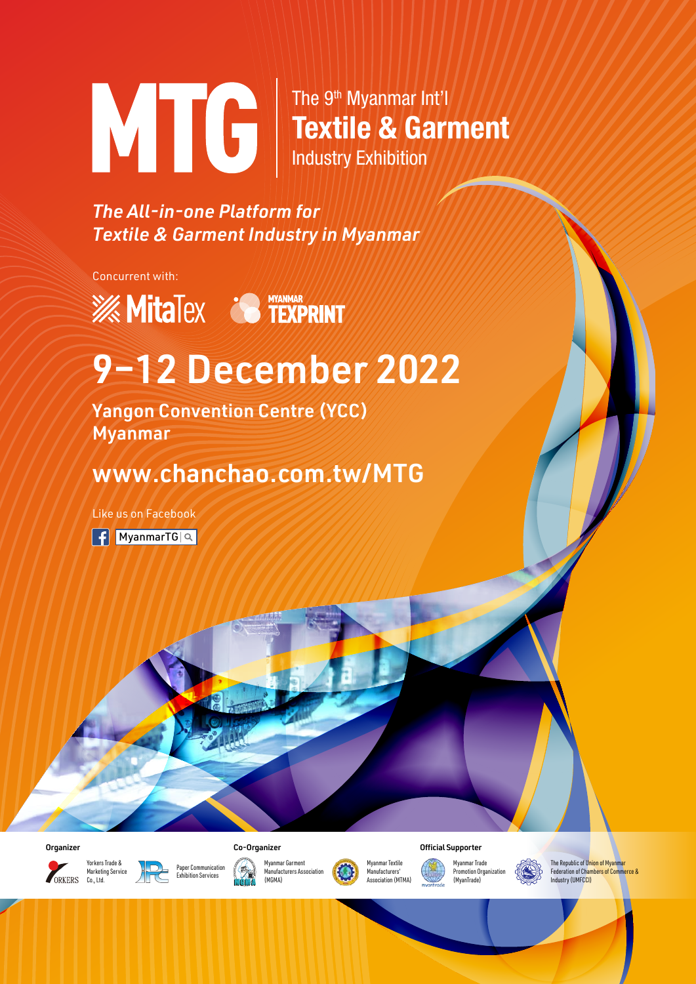

The 9<sup>th</sup> Myanmar Int'l Textile & Garment Industry Exhibition

*The All-in-one Platform for Textile & Garment Industry in Myanmar*

Concurrent with:

**EXAMPLE TEXPRINT** 

## 9–12 December 2022

Yangon Convention Centre (YCC) Myanmar

## www.chanchao.com.tw/MTG

Like us on Facebook

 $\left| \right|$  [MyanmarTG](https://www.facebook.com/MyanmarTG)  $\left| \right|$ 





Yorkers Trade & Marketing Service Co., Ltd.





Myanmar Garment . . ,<br>Manufacturers Assoc



Myanmar Trade ,<br>Promotion Organizat

(MyanTrade)



The Republic of Union of Myanmar Federation of Chambers of Commerce & Industry (UMFCCI)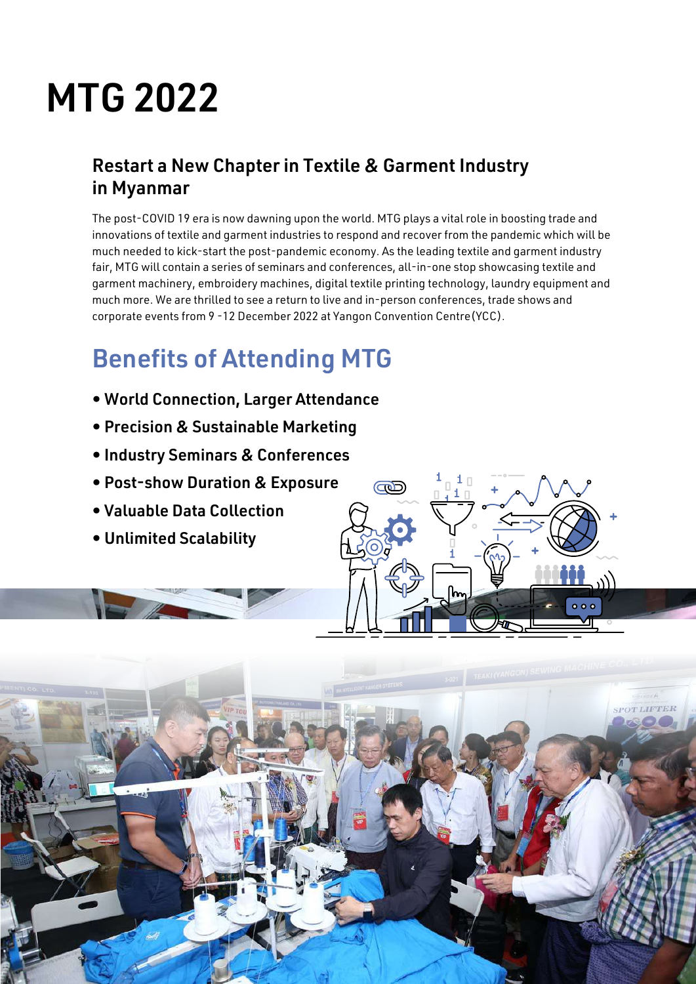# MTG 2022

### Restart a New Chapter in Textile & Garment Industry in Myanmar

The post-COVID 19 era is now dawning upon the world. MTG plays a vital role in boosting trade and innovations of textile and garment industries to respond and recover from the pandemic which will be much needed to kick-start the post-pandemic economy. As the leading textile and garment industry fair, MTG will contain a series of seminars and conferences, all-in-one stop showcasing textile and garment machinery, embroidery machines, digital textile printing technology, laundry equipment and much more. We are thrilled to see a return to live and in-person conferences, trade shows and corporate events from 9 -12 December 2022 at Yangon Convention Centre(YCC).

## Benefits of Attending MTG

- World Connection, Larger Attendance
- Precision & Sustainable Marketing
- Industry Seminars & Conferences
- Post-show Duration & Exposure
- Valuable Data Collection
- Unlimited Scalability



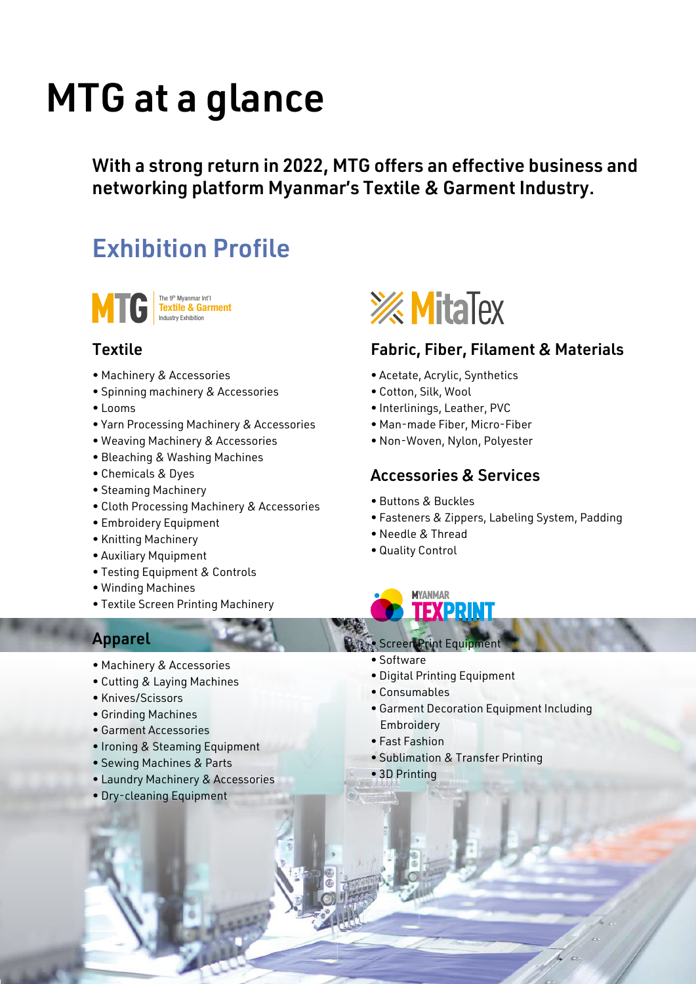# MTG at a glance

With a strong return in 2022, MTG offers an effective business and networking platform Myanmar's Textile & Garment Industry.

## Exhibition Profile



The 9<sup>th</sup> Myanmar Int'l<br>**Textile & Garment**<br>Industry Exhibition

#### **Textile**

- Machinery & Accessories
- Spinning machinery & Accessories
- Looms
- Yarn Processing Machinery & Accessories
- Weaving Machinery & Accessories
- Bleaching & Washing Machines
- Chemicals & Dyes
- Steaming Machinery
- Cloth Processing Machinery & Accessories
- Embroidery Equipment
- Knitting Machinery
- Auxiliary Mquipment
- Testing Equipment & Controls
- Winding Machines
- Textile Screen Printing Machinery

#### Apparel

- Machinery & Accessories
- Cutting & Laying Machines
- Knives/Scissors
- Grinding Machines
- Garment Accessories
- Ironing & Steaming Equipment
- Sewing Machines & Parts
- Laundry Machinery & Accessories
- Dry-cleaning Equipment



#### Fabric, Fiber, Filament & Materials

- Acetate, Acrylic, Synthetics
- Cotton, Silk, Wool
- Interlinings, Leather, PVC
- Man-made Fiber, Micro-Fiber
- Non-Woven, Nylon, Polyester

#### Accessories & Services

- Buttons & Buckles
- Fasteners & Zippers, Labeling System, Padding
- Needle & Thread
- Quality Control



- Screen Print Equipment
- Software
- Digital Printing Equipment
- Consumables
- Garment Decoration Equipment Including Embroidery
- Fast Fashion
- Sublimation & Transfer Printing
- 3D Printing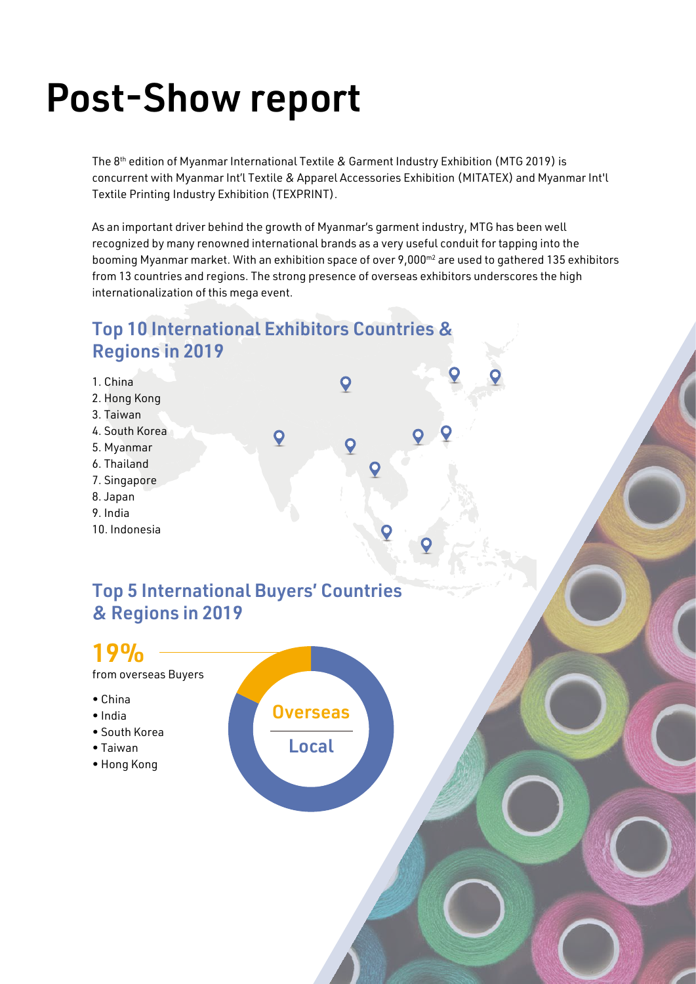# Post-Show report

The 8<sup>th</sup> edition of Myanmar International Textile & Garment Industry Exhibition (MTG 2019) is concurrent with Myanmar Int'l Textile & Apparel Accessories Exhibition (MITATEX) and Myanmar Int'l Textile Printing Industry Exhibition (TEXPRINT).

As an important driver behind the growth of Myanmar's garment industry, MTG has been well recognized by many renowned international brands as a very useful conduit for tapping into the booming Myanmar market. With an exhibition space of over 9,000<sup>m2</sup> are used to gathered 135 exhibitors from 13 countries and regions. The strong presence of overseas exhibitors underscores the high internationalization of this mega event.

### Top 10 International Exhibitors Countries & Regions in 2019

1. China O 2. Hong Kong 3. Taiwan 4. South Korea  $\boldsymbol{Q}$  $\overline{Q}$ 5. Myanmar 6. Thailand 7. Singapore 8. Japan 9. India 10. Indonesia

### Top 5 International Buyers' Countries & Regions in 2019

### 19%

from overseas Buyers

- China
- India
- South Korea
- Taiwan
- Hong Kong

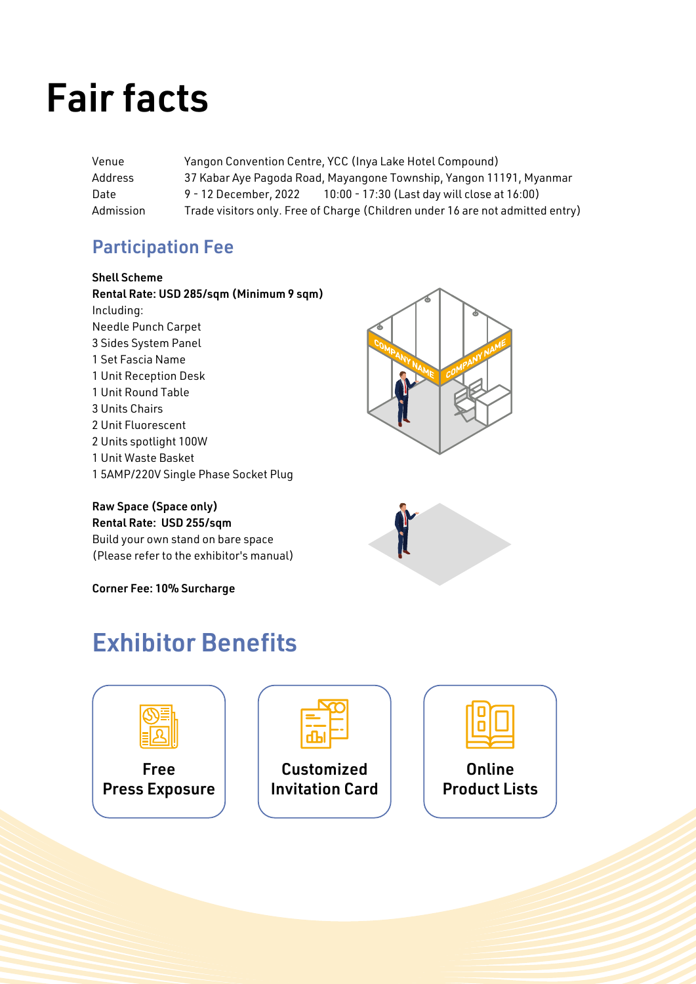# Fair facts

Venue Yangon Convention Centre, YCC (Inya Lake Hotel Compound) Address 37 Kabar Aye Pagoda Road, Mayangone Township, Yangon 11191, Myanmar Date 9 - 12 December, 2022 10:00 - 17:30 (Last day will close at 16:00) Admission Trade visitors only. Free of Charge (Children under 16 are not admitted entry)

### Participation Fee

Shell Scheme

Rental Rate: USD 285/sqm (Minimum 9 sqm) Including: Needle Punch Carpet 3 Sides System Panel 1 Set Fascia Name 1 Unit Reception Desk 1 Unit Round Table 3 Units Chairs 2 Unit Fluorescent 2 Units spotlight 100W 1 Unit Waste Basket 1 5AMP/220V Single Phase Socket Plug

#### Raw Space (Space only)

Rental Rate: USD 255/sqm Build your own stand on bare space (Please refer to the exhibitor's manual)

Corner Fee: 10% Surcharge





## Exhibitor Benefits